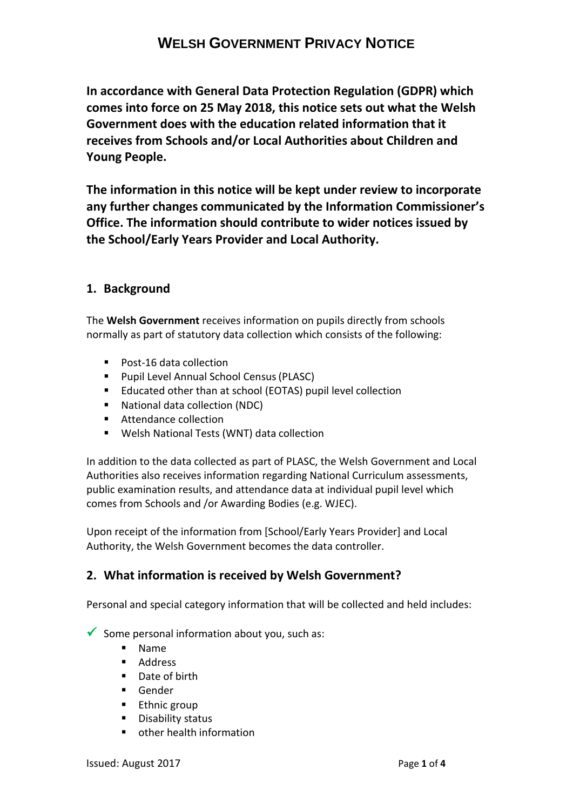**In accordance with General Data Protection Regulation (GDPR) which comes into force on 25 May 2018, this notice sets out what the Welsh Government does with the education related information that it receives from Schools and/or Local Authorities about Children and Young People.**

**The information in this notice will be kept under review to incorporate any further changes communicated by the Information Commissioner's Office. The information should contribute to wider notices issued by the School/Early Years Provider and Local Authority.**

### **1. Background**

The **Welsh Government** receives information on pupils directly from schools normally as part of statutory data collection which consists of the following:

- Post-16 data collection
- **Pupil Level Annual School Census (PLASC)**
- Educated other than at school (EOTAS) pupil level collection
- National data collection (NDC)
- **Attendance collection**
- Welsh National Tests (WNT) data collection

In addition to the data collected as part of PLASC, the Welsh Government and Local Authorities also receives information regarding National Curriculum assessments, public examination results, and attendance data at individual pupil level which comes from Schools and /or Awarding Bodies (e.g. WJEC).

Upon receipt of the information from [School/Early Years Provider] and Local Authority, the Welsh Government becomes the data controller.

### **2. What information is received by Welsh Government?**

Personal and special category information that will be collected and held includes:

Some personal information about you, such as:

- Name
- **Address**
- Date of birth
- **Gender**
- **Ethnic group**
- **Disability status**
- other health information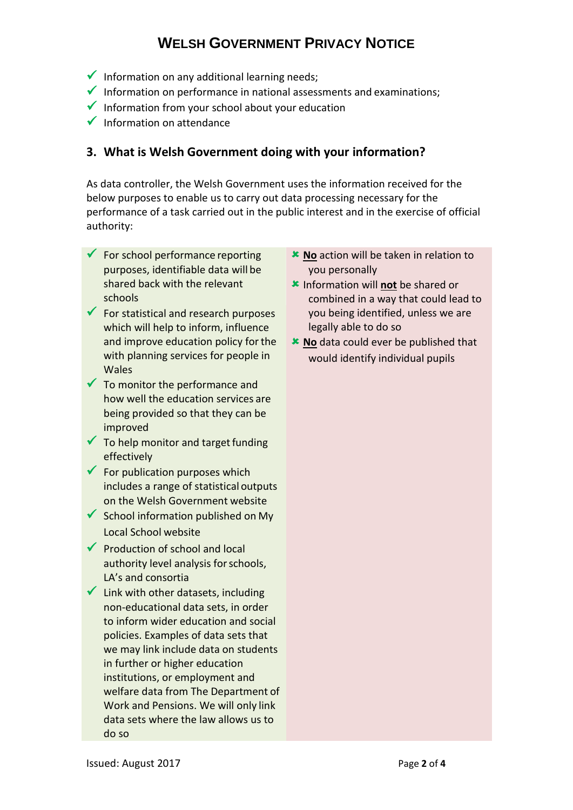- $\checkmark$  Information on any additional learning needs;
- Information on performance in national assessments and examinations;
- $\checkmark$  Information from your school about your education
- $\checkmark$  Information on attendance

### **3. What is Welsh Government doing with your information?**

As data controller, the Welsh Government uses the information received for the below purposes to enable us to carry out data processing necessary for the performance of a task carried out in the public interest and in the exercise of official authority:

- $\checkmark$  For school performance reporting purposes, identifiable data will be shared back with the relevant schools
- $\checkmark$  For statistical and research purposes which will help to inform, influence and improve education policy forthe with planning services for people in Wales
- $\checkmark$  To monitor the performance and how well the education services are being provided so that they can be improved
- $\checkmark$  To help monitor and target funding effectively
- $\checkmark$  For publication purposes which includes a range of statistical outputs on the Welsh Government website
- $\checkmark$  School information published on My Local School website
- $\sqrt{\phantom{a}}$  Production of school and local authority level analysis for schools, LA's and consortia
- $\checkmark$  Link with other datasets, including non-educational data sets, in order to inform wider education and social policies. Examples of data sets that we may link include data on students in further or higher education institutions, or employment and welfare data from The Department of Work and Pensions. We will only link data sets where the law allows us to do so
- **No** action will be taken in relation to you personally
- Information will **not** be shared or combined in a way that could lead to you being identified, unless we are legally able to do so
- **No** data could ever be published that would identify individual pupils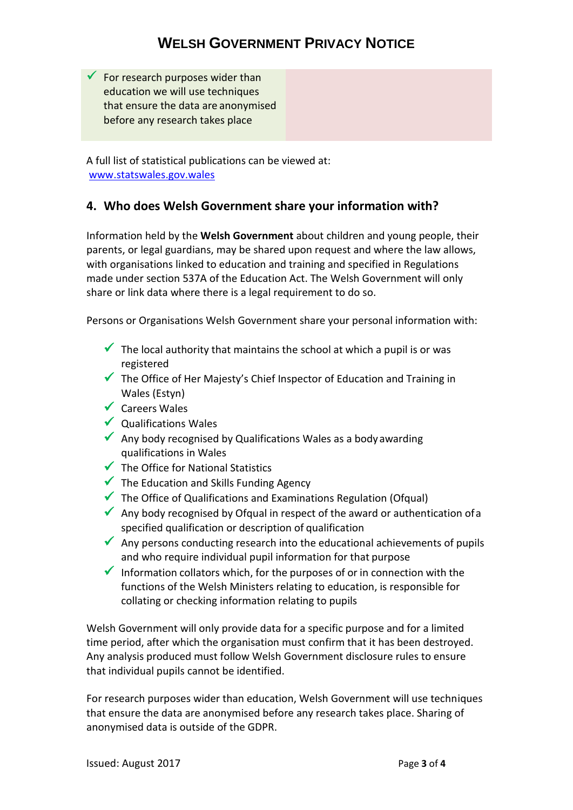$\checkmark$  For research purposes wider than education we will use techniques that ensure the data are anonymised before any research takes place

A full list of statistical publications can be viewed at: [www.statswales.gov.wales](https://statswales.gov.wales/Catalogue/Education-and-Skills)

### **4. Who does Welsh Government share your information with?**

Information held by the **Welsh Government** about children and young people, their parents, or legal guardians, may be shared upon request and where the law allows, with organisations linked to education and training and specified in Regulations made under section 537A of the Education Act. The Welsh Government will only share or link data where there is a legal requirement to do so.

Persons or Organisations Welsh Government share your personal information with:

- $\checkmark$  The local authority that maintains the school at which a pupil is or was registered
- $\checkmark$  The Office of Her Majesty's Chief Inspector of Education and Training in Wales (Estyn)
- Careers Wales
- $\checkmark$  Qualifications Wales
- Any body recognised by Qualifications Wales as a body awarding qualifications in Wales
- $\checkmark$  The Office for National Statistics
- $\checkmark$  The Education and Skills Funding Agency
- $\checkmark$  The Office of Qualifications and Examinations Regulation (Ofqual)
- Any body recognised by Ofqual in respect of the award or authentication of a specified qualification or description of qualification
- Any persons conducting research into the educational achievements of pupils and who require individual pupil information for that purpose
- Information collators which, for the purposes of or in connection with the functions of the Welsh Ministers relating to education, is responsible for collating or checking information relating to pupils

Welsh Government will only provide data for a specific purpose and for a limited time period, after which the organisation must confirm that it has been destroyed. Any analysis produced must follow Welsh Government disclosure rules to ensure that individual pupils cannot be identified.

For research purposes wider than education, Welsh Government will use techniques that ensure the data are anonymised before any research takes place. Sharing of anonymised data is outside of the GDPR.